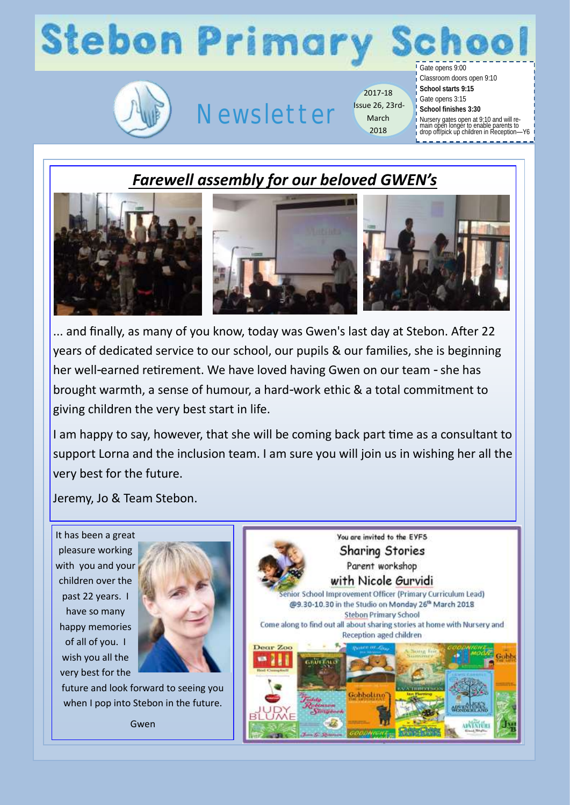# **Stebon Primary**



## Newsletter

2017-18 Issue 26, 23rd-March 2018

Gate opens 9:00 Classroom doors open 9:10

- **School starts 9:15**
- Gate opens 3:15
- **School finishes 3:30**
- Nursery gates open at 9:10 and will re-main open longer to enable parents to drop off/pick up children in Reception—Y6
- 

## *Farewell assembly for our beloved GWEN's*



... and finally, as many of you know, today was Gwen's last day at Stebon. After 22 years of dedicated service to our school, our pupils & our families, she is beginning her well-earned retirement. We have loved having Gwen on our team - she has brought warmth, a sense of humour, a hard-work ethic & a total commitment to giving children the very best start in life.

I am happy to say, however, that she will be coming back part time as a consultant to support Lorna and the inclusion team. I am sure you will join us in wishing her all the very best for the future.

Jeremy, Jo & Team Stebon.

It has been a great pleasure working with you and your children over the past 22 years. I have so many happy memories of all of you. I wish you all the very best for the



future and look forward to seeing you when I pop into Stebon in the future.

Gwen

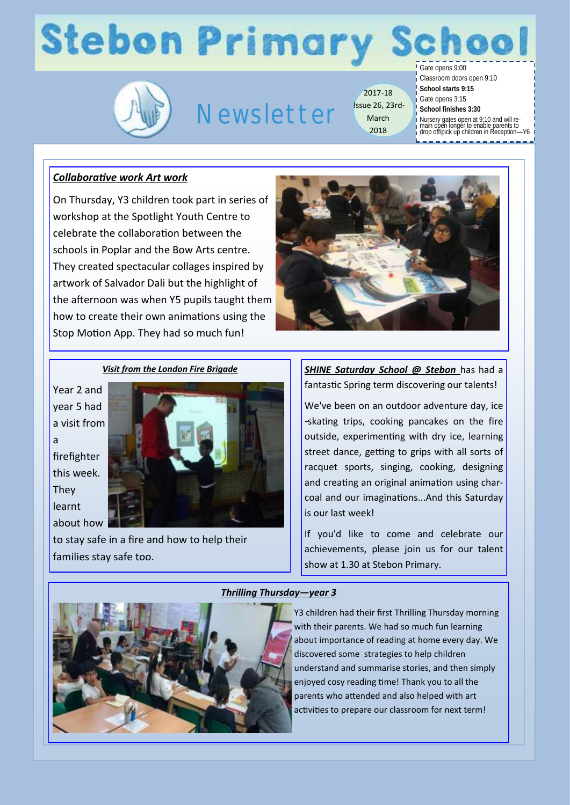# **Stebon Primary**



## Newsletter

2017-18 Issue 26, 23rd-March 2018

Gate opens 9:00

Classroom doors open 9:10

- **School starts 9:15**
- Gate opens 3:15 **School finishes 3:30**
	-
- Nursery gates open at 9:10 and will re-main open longer to enable parents to drop off/pick up children in Reception—Y6
- 

### *Collaborative work Art work*

On Thursday, Y3 children took part in series of workshop at the Spotlight Youth Centre to celebrate the collaboration between the schools in Poplar and the Bow Arts centre. They created spectacular collages inspired by artwork of Salvador Dali but the highlight of the afternoon was when Y5 pupils taught them how to create their own animations using the Stop Motion App. They had so much fun!



#### *Visit from the London Fire Brigade*

Year 2 and year 5 had a visit from a firefighter this week. They learnt about how



to stay safe in a fire and how to help their families stay safe too.

*SHINE Saturday School @ Stebon* has had a fantastic Spring term discovering our talents!

We've been on an outdoor adventure day, ice -skating trips, cooking pancakes on the fire outside, experimenting with dry ice, learning street dance, getting to grips with all sorts of racquet sports, singing, cooking, designing and creating an original animation using charcoal and our imaginations...And this Saturday is our last week!

If you'd like to come and celebrate our achievements, please join us for our talent show at 1.30 at Stebon Primary.



#### *Thrilling Thursday—year 3*

Y3 children had their first Thrilling Thursday morning with their parents. We had so much fun learning about importance of reading at home every day. We discovered some strategies to help children understand and summarise stories, and then simply enjoyed cosy reading time! Thank you to all the parents who attended and also helped with art activities to prepare our classroom for next term!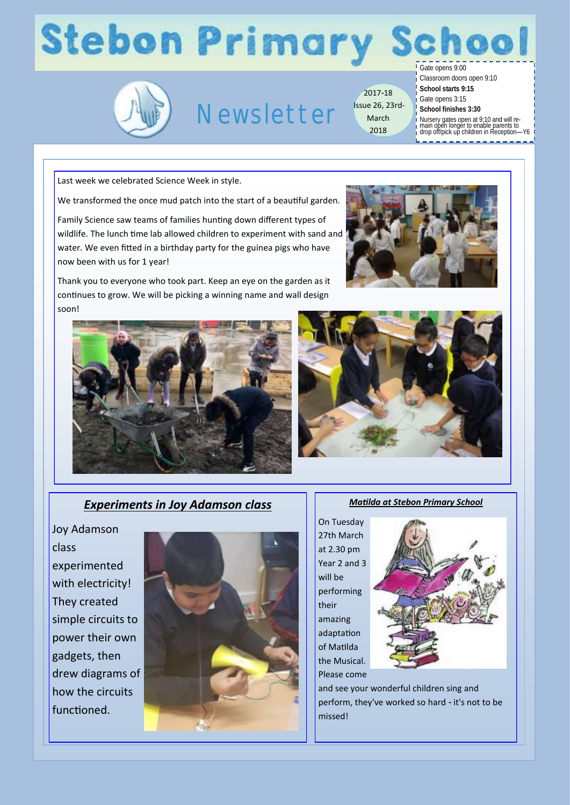# **Stebon Primary S**



## Newsletter

2017-18 Issue 26, 23rd-March 2018

hool Gate opens 9:00

Classroom doors open 9:10

- **School starts 9:15**
- Gate opens 3:15
- **School finishes 3:30**
- Nursery gates open at 9:10 and will re-main open longer to enable parents to drop off/pick up children in Reception—Y6
- 

Last week we celebrated Science Week in style.

We transformed the once mud patch into the start of a beautiful garden.

Family Science saw teams of families hunting down different types of wildlife. The lunch time lab allowed children to experiment with sand and water. We even fitted in a birthday party for the guinea pigs who have now been with us for 1 year!

Thank you to everyone who took part. Keep an eye on the garden as it continues to grow. We will be picking a winning name and wall design soon!







## *Experiments in Joy Adamson class*

Joy Adamson class experimented with electricity! They created simple circuits to power their own gadgets, then drew diagrams of how the circuits functioned.



*Matilda at Stebon Primary School*

On Tuesday 27th March at 2.30 pm Year 2 and 3 will be performing their amazing adaptation of Matilda the Musical. Please come



and see your wonderful children sing and perform, they've worked so hard - it's not to be missed!